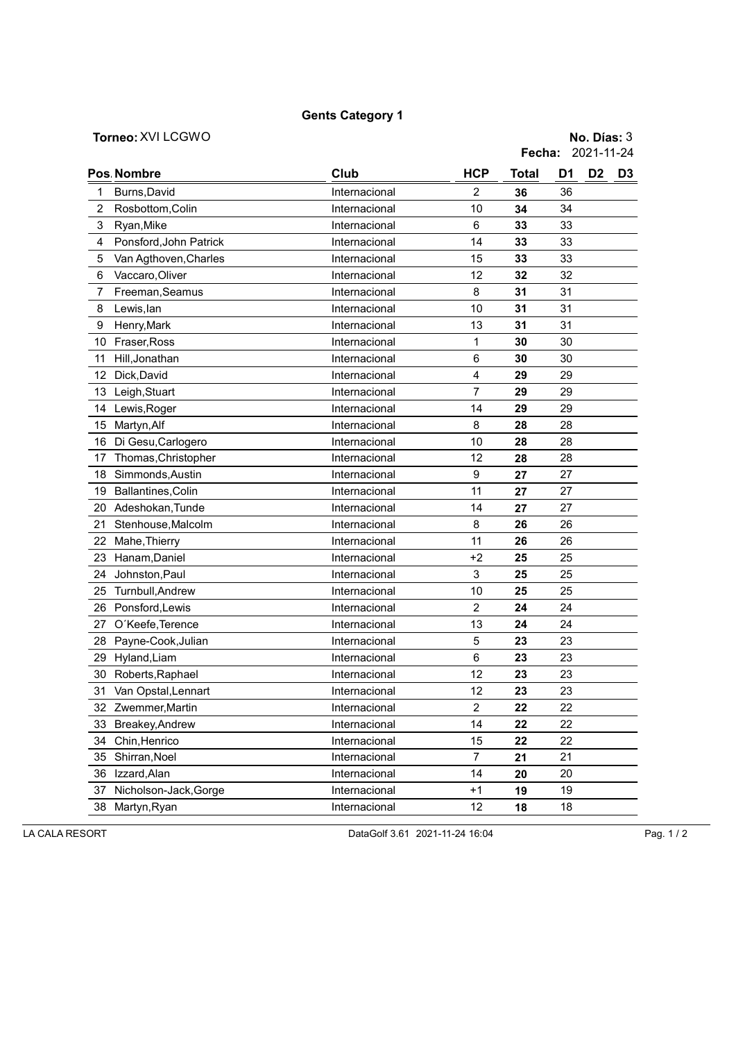## Gents Category 1

Torneo: XVI LCGWO No. Días: 3 Fecha: 2021-11-24

|                         | Pos. Nombre            | Club          | <b>HCP</b>     | <b>Total</b> | D1 | D <sub>2</sub> | D <sub>3</sub> |
|-------------------------|------------------------|---------------|----------------|--------------|----|----------------|----------------|
| 1                       | Burns, David           | Internacional | $\overline{2}$ | 36           | 36 |                |                |
| $\overline{\mathbf{c}}$ | Rosbottom, Colin       | Internacional | 10             | 34           | 34 |                |                |
| 3                       | Ryan, Mike             | Internacional | 6              | 33           | 33 |                |                |
| 4                       | Ponsford, John Patrick | Internacional | 14             | 33           | 33 |                |                |
| 5                       | Van Agthoven, Charles  | Internacional | 15             | 33           | 33 |                |                |
| 6                       | Vaccaro, Oliver        | Internacional | 12             | 32           | 32 |                |                |
| 7                       | Freeman, Seamus        | Internacional | 8              | 31           | 31 |                |                |
| 8                       | Lewis, lan             | Internacional | 10             | 31           | 31 |                |                |
| 9                       | Henry, Mark            | Internacional | 13             | 31           | 31 |                |                |
| 10                      | Fraser, Ross           | Internacional | $\mathbf{1}$   | 30           | 30 |                |                |
| 11                      | Hill, Jonathan         | Internacional | 6              | 30           | 30 |                |                |
| 12                      | Dick, David            | Internacional | $\overline{4}$ | 29           | 29 |                |                |
| 13                      | Leigh, Stuart          | Internacional | $\overline{7}$ | 29           | 29 |                |                |
| 14                      | Lewis, Roger           | Internacional | 14             | 29           | 29 |                |                |
| 15                      | Martyn, Alf            | Internacional | 8              | 28           | 28 |                |                |
| 16                      | Di Gesu, Carlogero     | Internacional | 10             | 28           | 28 |                |                |
| 17                      | Thomas, Christopher    | Internacional | 12             | 28           | 28 |                |                |
| 18                      | Simmonds, Austin       | Internacional | 9              | 27           | 27 |                |                |
| 19                      | Ballantines, Colin     | Internacional | 11             | 27           | 27 |                |                |
| 20                      | Adeshokan, Tunde       | Internacional | 14             | 27           | 27 |                |                |
| 21                      | Stenhouse, Malcolm     | Internacional | 8              | 26           | 26 |                |                |
| 22                      | Mahe, Thierry          | Internacional | 11             | 26           | 26 |                |                |
| 23                      | Hanam, Daniel          | Internacional | +2             | 25           | 25 |                |                |
| 24                      | Johnston, Paul         | Internacional | 3              | 25           | 25 |                |                |
| 25                      | Turnbull, Andrew       | Internacional | 10             | 25           | 25 |                |                |
| 26                      | Ponsford, Lewis        | Internacional | $\overline{2}$ | 24           | 24 |                |                |
| 27                      | O'Keefe, Terence       | Internacional | 13             | 24           | 24 |                |                |
| 28                      | Payne-Cook, Julian     | Internacional | 5              | 23           | 23 |                |                |
| 29                      | Hyland, Liam           | Internacional | 6              | 23           | 23 |                |                |
| 30                      | Roberts, Raphael       | Internacional | 12             | 23           | 23 |                |                |
| 31                      | Van Opstal, Lennart    | Internacional | 12             | 23           | 23 |                |                |
|                         | 32 Zwemmer, Martin     | Internacional | $\overline{c}$ | 22           | 22 |                |                |
| 33                      | Breakey, Andrew        | Internacional | 14             | 22           | 22 |                |                |
| 34                      | Chin, Henrico          | Internacional | 15             | 22           | 22 |                |                |
| 35                      | Shirran, Noel          | Internacional | 7              | 21           | 21 |                |                |
| 36                      | Izzard, Alan           | Internacional | 14             | 20           | 20 |                |                |
| 37                      | Nicholson-Jack, Gorge  | Internacional | $+1$           | 19           | 19 |                |                |
| 38                      | Martyn, Ryan           | Internacional | 12             | 18           | 18 |                |                |
|                         |                        |               |                |              |    |                |                |

LA CALA RESORT DataGolf 3.61 2021-11-24 16:04 Pag. 1 / 2